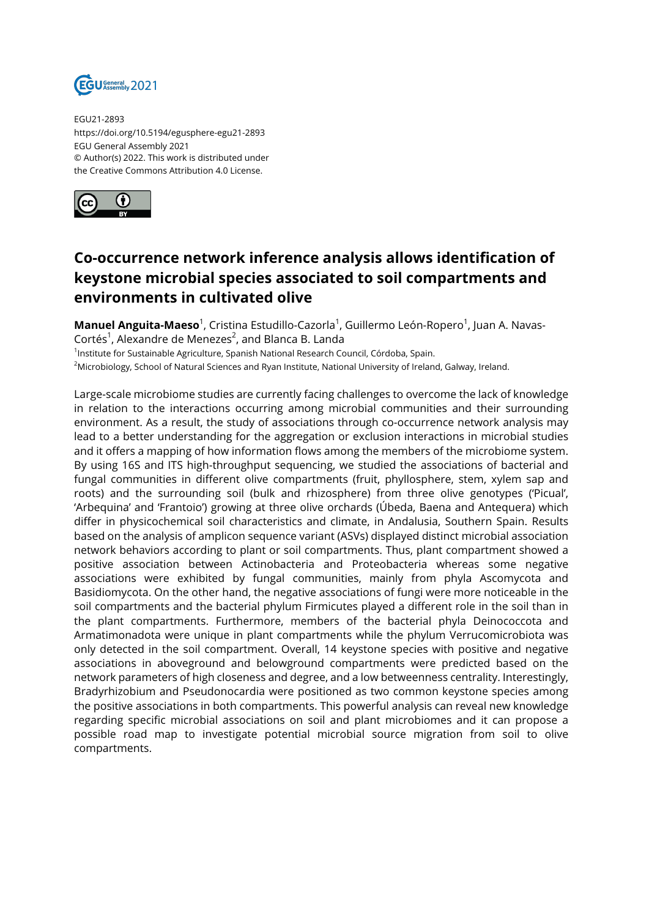

EGU21-2893 https://doi.org/10.5194/egusphere-egu21-2893 EGU General Assembly 2021 © Author(s) 2022. This work is distributed under the Creative Commons Attribution 4.0 License.



## **Co-occurrence network inference analysis allows identification of keystone microbial species associated to soil compartments and environments in cultivated olive**

**Manuel Anguita-Maeso** $^1$ , Cristina Estudillo-Cazorla $^1$ , Guillermo León-Ropero $^1$ , Juan A. Navas-Cortés<sup>1</sup>, Alexandre de Menezes<sup>2</sup>, and Blanca B. Landa <sup>1</sup>Institute for Sustainable Agriculture, Spanish National Research Council, Córdoba, Spain.

<sup>2</sup>Microbiology, School of Natural Sciences and Ryan Institute, National University of Ireland, Galway, Ireland.

Large-scale microbiome studies are currently facing challenges to overcome the lack of knowledge in relation to the interactions occurring among microbial communities and their surrounding environment. As a result, the study of associations through co-occurrence network analysis may lead to a better understanding for the aggregation or exclusion interactions in microbial studies and it offers a mapping of how information flows among the members of the microbiome system. By using 16S and ITS high-throughput sequencing, we studied the associations of bacterial and fungal communities in different olive compartments (fruit, phyllosphere, stem, xylem sap and roots) and the surrounding soil (bulk and rhizosphere) from three olive genotypes ('Picual', 'Arbequina' and 'Frantoio') growing at three olive orchards (Úbeda, Baena and Antequera) which differ in physicochemical soil characteristics and climate, in Andalusia, Southern Spain. Results based on the analysis of amplicon sequence variant (ASVs) displayed distinct microbial association network behaviors according to plant or soil compartments. Thus, plant compartment showed a positive association between Actinobacteria and Proteobacteria whereas some negative associations were exhibited by fungal communities, mainly from phyla Ascomycota and Basidiomycota. On the other hand, the negative associations of fungi were more noticeable in the soil compartments and the bacterial phylum Firmicutes played a different role in the soil than in the plant compartments. Furthermore, members of the bacterial phyla Deinococcota and Armatimonadota were unique in plant compartments while the phylum Verrucomicrobiota was only detected in the soil compartment. Overall, 14 keystone species with positive and negative associations in aboveground and belowground compartments were predicted based on the network parameters of high closeness and degree, and a low betweenness centrality. Interestingly, Bradyrhizobium and Pseudonocardia were positioned as two common keystone species among the positive associations in both compartments. This powerful analysis can reveal new knowledge regarding specific microbial associations on soil and plant microbiomes and it can propose a possible road map to investigate potential microbial source migration from soil to olive compartments.